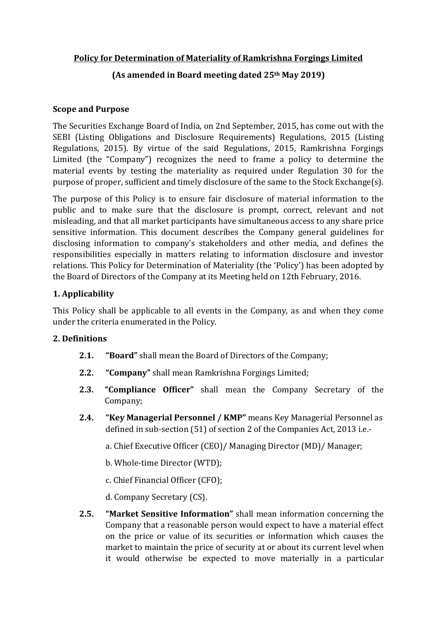# **Policy for Determination of Materiality of Ramkrishna Forgings Limited**

# **(As amended in Board meeting dated 25th May 2019)**

### **Scope and Purpose**

The Securities Exchange Board of India, on 2nd September, 2015, has come out with the SEBI (Listing Obligations and Disclosure Requirements) Regulations, 2015 (Listing Regulations, 2015). By virtue of the said Regulations, 2015, Ramkrishna Forgings Limited (the "Company") recognizes the need to frame a policy to determine the material events by testing the materiality as required under Regulation 30 for the purpose of proper, sufficient and timely disclosure of the same to the Stock Exchange(s).

The purpose of this Policy is to ensure fair disclosure of material information to the public and to make sure that the disclosure is prompt, correct, relevant and not misleading, and that all market participants have simultaneous access to any share price sensitive information. This document describes the Company general guidelines for disclosing information to company's stakeholders and other media, and defines the responsibilities especially in matters relating to information disclosure and investor relations. This Policy for Determination of Materiality (the 'Policy') has been adopted by the Board of Directors of the Company at its Meeting held on 12th February, 2016.

## **1. Applicability**

This Policy shall be applicable to all events in the Company, as and when they come under the criteria enumerated in the Policy.

### **2. Definitions**

- **2.1. "Board"** shall mean the Board of Directors of the Company;
- **2.2. "Company"** shall mean Ramkrishna Forgings Limited;
- **2.3. "Compliance Officer"** shall mean the Company Secretary of the Company;
- **2.4. "Key Managerial Personnel / KMP"** means Key Managerial Personnel as defined in sub-section (51) of section 2 of the Companies Act, 2013 i.e.-

a. Chief Executive Officer (CEO)/ Managing Director (MD)/ Manager;

b. Whole-time Director (WTD);

c. Chief Financial Officer (CFO);

d. Company Secretary (CS).

**2.5. "Market Sensitive Information"** shall mean information concerning the Company that a reasonable person would expect to have a material effect on the price or value of its securities or information which causes the market to maintain the price of security at or about its current level when it would otherwise be expected to move materially in a particular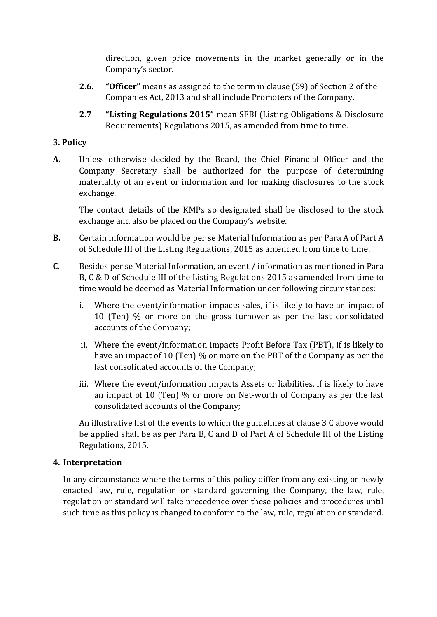direction, given price movements in the market generally or in the Company's sector.

- **2.6. "Officer"** means as assigned to the term in clause (59) of Section 2 of the Companies Act, 2013 and shall include Promoters of the Company.
- **2.7 "Listing Regulations 2015"** mean SEBI (Listing Obligations & Disclosure Requirements) Regulations 2015, as amended from time to time.

# **3. Policy**

**A.** Unless otherwise decided by the Board, the Chief Financial Officer and the Company Secretary shall be authorized for the purpose of determining materiality of an event or information and for making disclosures to the stock exchange.

The contact details of the KMPs so designated shall be disclosed to the stock exchange and also be placed on the Company's website.

- **B.** Certain information would be per se Material Information as per Para A of Part A of Schedule III of the Listing Regulations, 2015 as amended from time to time.
- **C**. Besides per se Material Information, an event / information as mentioned in Para B, C & D of Schedule III of the Listing Regulations 2015 as amended from time to time would be deemed as Material Information under following circumstances:
	- i. Where the event/information impacts sales, if is likely to have an impact of 10 (Ten) % or more on the gross turnover as per the last consolidated accounts of the Company;
	- ii. Where the event/information impacts Profit Before Tax (PBT), if is likely to have an impact of 10 (Ten) % or more on the PBT of the Company as per the last consolidated accounts of the Company;
	- iii. Where the event/information impacts Assets or liabilities, if is likely to have an impact of 10 (Ten) % or more on Net-worth of Company as per the last consolidated accounts of the Company;

An illustrative list of the events to which the guidelines at clause 3 C above would be applied shall be as per Para B, C and D of Part A of Schedule III of the Listing Regulations, 2015.

### **4. Interpretation**

In any circumstance where the terms of this policy differ from any existing or newly enacted law, rule, regulation or standard governing the Company, the law, rule, regulation or standard will take precedence over these policies and procedures until such time as this policy is changed to conform to the law, rule, regulation or standard.